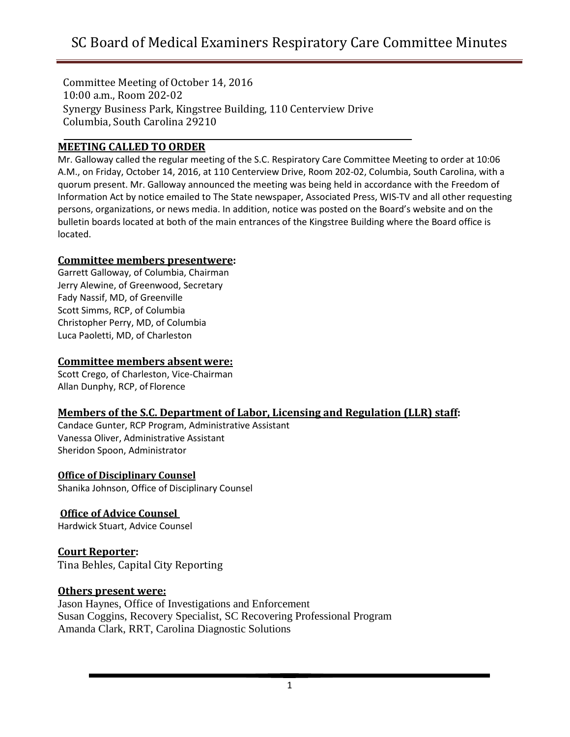Committee Meeting of October 14, 2016 10:00 a.m., Room 202-02 Synergy Business Park, Kingstree Building, 110 Centerview Drive Columbia, South Carolina 29210

#### **MEETING CALLED TO ORDER**

Mr. Galloway called the regular meeting of the S.C. Respiratory Care Committee Meeting to order at 10:06 A.M., on Friday, October 14, 2016, at 110 Centerview Drive, Room 202-02, Columbia, South Carolina, with a quorum present. Mr. Galloway announced the meeting was being held in accordance with the Freedom of Information Act by notice emailed to The State newspaper, Associated Press, WIS-TV and all other requesting persons, organizations, or news media. In addition, notice was posted on the Board's website and on the bulletin boards located at both of the main entrances of the Kingstree Building where the Board office is located.

#### **Committee members presentwere:**

Garrett Galloway, of Columbia, Chairman Jerry Alewine, of Greenwood, Secretary Fady Nassif, MD, of Greenville Scott Simms, RCP, of Columbia Christopher Perry, MD, of Columbia Luca Paoletti, MD, of Charleston

#### **Committee members absent were:**

Scott Crego, of Charleston, Vice-Chairman Allan Dunphy, RCP, of Florence

# **Members of the S.C. Department of Labor, Licensing and Regulation (LLR) staff:**

Candace Gunter, RCP Program, Administrative Assistant Vanessa Oliver, Administrative Assistant Sheridon Spoon, Administrator

#### **Office of Disciplinary Counsel**

Shanika Johnson, Office of Disciplinary Counsel

# **Office of Advice Counsel**

Hardwick Stuart, Advice Counsel

# **Court Reporter:**

Tina Behles, Capital City Reporting

#### **Others present were:**

Jason Haynes, Office of Investigations and Enforcement Susan Coggins, Recovery Specialist, SC Recovering Professional Program Amanda Clark, RRT, Carolina Diagnostic Solutions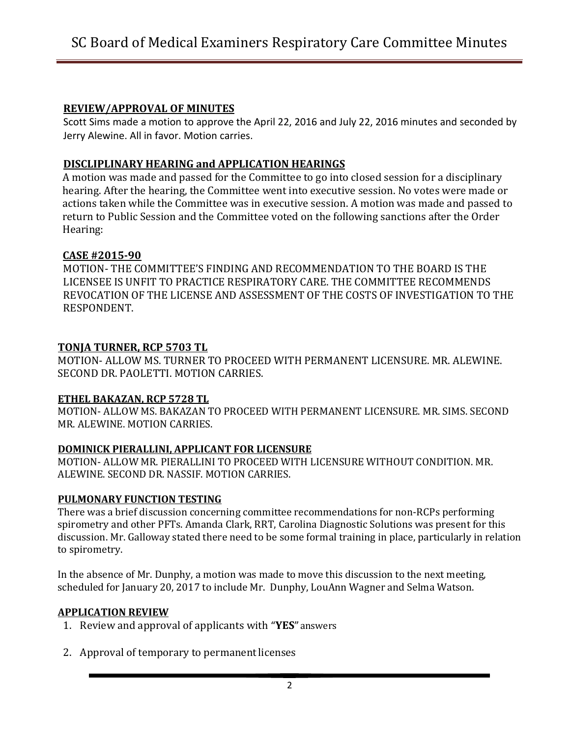#### **REVIEW/APPROVAL OF MINUTES**

Scott Sims made a motion to approve the April 22, 2016 and July 22, 2016 minutes and seconded by Jerry Alewine. All in favor. Motion carries.

# **DISCLIPLINARY HEARING and APPLICATION HEARINGS**

A motion was made and passed for the Committee to go into closed session for a disciplinary hearing. After the hearing, the Committee went into executive session. No votes were made or actions taken while the Committee was in executive session. A motion was made and passed to return to Public Session and the Committee voted on the following sanctions after the Order Hearing:

# **CASE #2015-90**

MOTION- THE COMMITTEE'S FINDING AND RECOMMENDATION TO THE BOARD IS THE LICENSEE IS UNFIT TO PRACTICE RESPIRATORY CARE. THE COMMITTEE RECOMMENDS REVOCATION OF THE LICENSE AND ASSESSMENT OF THE COSTS OF INVESTIGATION TO THE RESPONDENT.

# **TONJA TURNER, RCP 5703 TL**

MOTION- ALLOW MS. TURNER TO PROCEED WITH PERMANENT LICENSURE. MR. ALEWINE. SECOND DR. PAOLETTI. MOTION CARRIES.

#### **ETHEL BAKAZAN, RCP 5728 TL**

MOTION- ALLOW MS. BAKAZAN TO PROCEED WITH PERMANENT LICENSURE. MR. SIMS. SECOND MR. ALEWINE. MOTION CARRIES.

# **DOMINICK PIERALLINI, APPLICANT FOR LICENSURE**

MOTION- ALLOW MR. PIERALLINI TO PROCEED WITH LICENSURE WITHOUT CONDITION. MR. ALEWINE. SECOND DR. NASSIF. MOTION CARRIES.

# **PULMONARY FUNCTION TESTING**

There was a brief discussion concerning committee recommendations for non-RCPs performing spirometry and other PFTs. Amanda Clark, RRT, Carolina Diagnostic Solutions was present for this discussion. Mr. Galloway stated there need to be some formal training in place, particularly in relation to spirometry.

In the absence of Mr. Dunphy, a motion was made to move this discussion to the next meeting, scheduled for January 20, 2017 to include Mr. Dunphy, LouAnn Wagner and Selma Watson.

#### **APPLICATION REVIEW**

- 1. Review and approval of applicants with "**YES**"answers
- 2. Approval of temporary to permanent licenses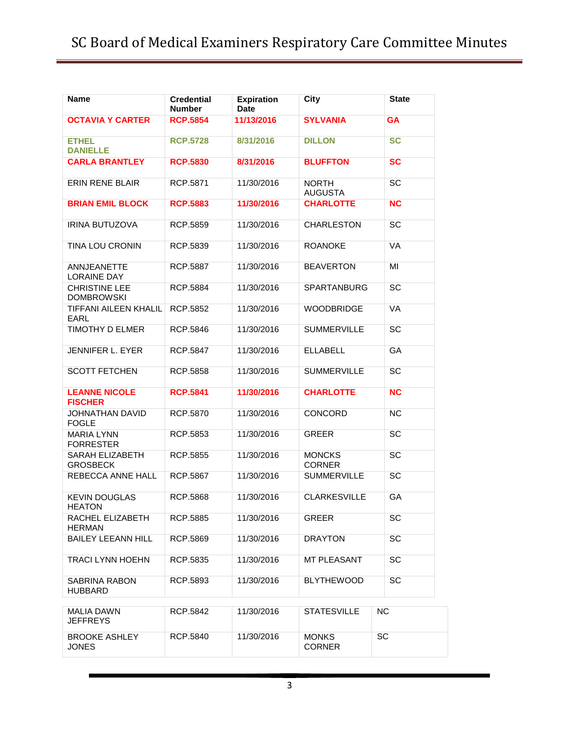| Name                                      | <b>Credential</b><br><b>Number</b> | <b>Expiration</b><br>Date | <b>City</b>                    | <b>State</b> |
|-------------------------------------------|------------------------------------|---------------------------|--------------------------------|--------------|
| <b>OCTAVIA Y CARTER</b>                   | <b>RCP.5854</b>                    | 11/13/2016                | <b>SYLVANIA</b>                | <b>GA</b>    |
| <b>ETHEL</b><br><b>DANIELLE</b>           | <b>RCP.5728</b>                    | 8/31/2016                 | <b>DILLON</b>                  | <b>SC</b>    |
| <b>CARLA BRANTLEY</b>                     | <b>RCP.5830</b>                    | 8/31/2016                 | <b>BLUFFTON</b>                | <b>SC</b>    |
| <b>ERIN RENE BLAIR</b>                    | RCP.5871                           | 11/30/2016                | <b>NORTH</b><br><b>AUGUSTA</b> | SC           |
| <b>BRIAN EMIL BLOCK</b>                   | <b>RCP.5883</b>                    | 11/30/2016                | <b>CHARLOTTE</b>               | <b>NC</b>    |
| <b>IRINA BUTUZOVA</b>                     | RCP.5859                           | 11/30/2016                | <b>CHARLESTON</b>              | SC           |
| TINA LOU CRONIN                           | RCP.5839                           | 11/30/2016                | <b>ROANOKE</b>                 | <b>VA</b>    |
| ANNJEANETTE<br><b>LORAINE DAY</b>         | RCP.5887                           | 11/30/2016                | <b>BEAVERTON</b>               | MI           |
| <b>CHRISTINE LEE</b><br><b>DOMBROWSKI</b> | RCP.5884                           | 11/30/2016                | <b>SPARTANBURG</b>             | <b>SC</b>    |
| <b>TIFFANI AILEEN KHALIL</b><br>FARL      | RCP.5852                           | 11/30/2016                | <b>WOODBRIDGE</b>              | <b>VA</b>    |
| TIMOTHY D ELMER                           | RCP.5846                           | 11/30/2016                | <b>SUMMERVILLE</b>             | SC           |
| <b>JENNIFER L. EYER</b>                   | RCP.5847                           | 11/30/2016                | <b>ELLABELL</b>                | GA           |
| <b>SCOTT FETCHEN</b>                      | RCP.5858                           | 11/30/2016                | <b>SUMMERVILLE</b>             | <b>SC</b>    |
| <b>LEANNE NICOLE</b><br><b>FISCHER</b>    | <b>RCP.5841</b>                    | 11/30/2016                | <b>CHARLOTTE</b>               | <b>NC</b>    |
| JOHNATHAN DAVID<br><b>FOGLE</b>           | RCP.5870                           | 11/30/2016                | <b>CONCORD</b>                 | <b>NC</b>    |
| <b>MARIA LYNN</b><br><b>FORRESTER</b>     | RCP.5853                           | 11/30/2016                | <b>GREER</b>                   | SC           |
| SARAH ELIZABETH<br><b>GROSBECK</b>        | RCP.5855                           | 11/30/2016                | <b>MONCKS</b><br><b>CORNER</b> | <b>SC</b>    |
| REBECCA ANNE HALL                         | RCP.5867                           | 11/30/2016                | <b>SUMMERVILLE</b>             | SC           |
| <b>KEVIN DOUGLAS</b><br><b>HEATON</b>     | RCP.5868                           | 11/30/2016                | <b>CLARKESVILLE</b>            | GA           |
| RACHEL ELIZABETH<br><b>HERMAN</b>         | RCP.5885                           | 11/30/2016                | <b>GREER</b>                   | SC           |
| <b>BAILEY LEEANN HILL</b>                 | RCP.5869                           | 11/30/2016                | <b>DRAYTON</b>                 | <b>SC</b>    |
| <b>TRACI LYNN HOEHN</b>                   | RCP.5835                           | 11/30/2016                | MT PLEASANT                    | SC           |
| SABRINA RABON<br><b>HUBBARD</b>           | RCP.5893                           | 11/30/2016                | <b>BLYTHEWOOD</b>              | <b>SC</b>    |
| <b>MALIA DAWN</b><br><b>JEFFREYS</b>      | RCP.5842                           | 11/30/2016                | <b>STATESVILLE</b>             | NC           |
| <b>BROOKE ASHLEY</b><br><b>JONES</b>      | RCP.5840                           | 11/30/2016                | <b>MONKS</b><br><b>CORNER</b>  | <b>SC</b>    |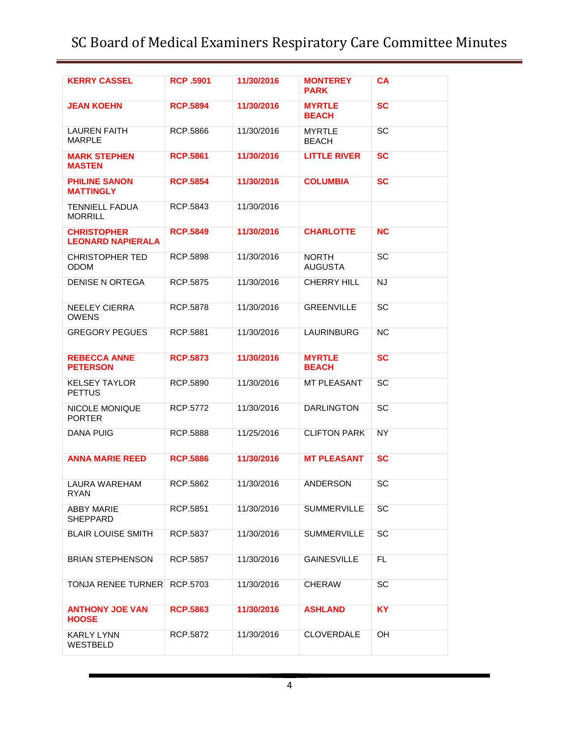# SC Board of Medical Examiners Respiratory Care Committee Minutes

| <b>KERRY CASSEL</b>                            | <b>RCP.5901</b> | 11/30/2016 | <b>MONTEREY</b><br><b>PARK</b> | <b>CA</b> |
|------------------------------------------------|-----------------|------------|--------------------------------|-----------|
| <b>JEAN KOEHN</b>                              | <b>RCP.5894</b> | 11/30/2016 | <b>MYRTLE</b><br><b>BEACH</b>  | <b>SC</b> |
| <b>LAUREN FAITH</b><br><b>MARPLE</b>           | RCP.5866        | 11/30/2016 | <b>MYRTLE</b><br><b>BEACH</b>  | <b>SC</b> |
| <b>MARK STEPHEN</b><br><b>MASTEN</b>           | <b>RCP.5861</b> | 11/30/2016 | <b>LITTLE RIVER</b>            | <b>SC</b> |
| <b>PHILINE SANON</b><br><b>MATTINGLY</b>       | <b>RCP.5854</b> | 11/30/2016 | <b>COLUMBIA</b>                | <b>SC</b> |
| <b>TENNIELL FADUA</b><br><b>MORRILL</b>        | RCP.5843        | 11/30/2016 |                                |           |
| <b>CHRISTOPHER</b><br><b>LEONARD NAPIERALA</b> | <b>RCP.5849</b> | 11/30/2016 | <b>CHARLOTTE</b>               | <b>NC</b> |
| <b>CHRISTOPHER TED</b><br><b>ODOM</b>          | RCP.5898        | 11/30/2016 | <b>NORTH</b><br><b>AUGUSTA</b> | SC        |
| <b>DENISE N ORTEGA</b>                         | RCP.5875        | 11/30/2016 | <b>CHERRY HILL</b>             | <b>NJ</b> |
| <b>NEELEY CIERRA</b><br><b>OWENS</b>           | <b>RCP.5878</b> | 11/30/2016 | <b>GREENVILLE</b>              | <b>SC</b> |
| <b>GREGORY PEGUES</b>                          | RCP.5881        | 11/30/2016 | <b>LAURINBURG</b>              | NC        |
| <b>REBECCA ANNE</b><br><b>PETERSON</b>         | <b>RCP.5873</b> | 11/30/2016 | <b>MYRTLE</b><br><b>BEACH</b>  | <b>SC</b> |
| <b>KELSEY TAYLOR</b><br><b>PETTUS</b>          | RCP.5890        | 11/30/2016 | <b>MT PLEASANT</b>             | SC        |
| <b>NICOLE MONIQUE</b><br><b>PORTER</b>         | <b>RCP.5772</b> | 11/30/2016 | <b>DARLINGTON</b>              | SC        |
| <b>DANA PUIG</b>                               | RCP.5888        | 11/25/2016 | <b>CLIFTON PARK</b>            | <b>NY</b> |
| <b>ANNA MARIE REED</b>                         | <b>RCP.5886</b> | 11/30/2016 | <b>MT PLEASANT</b>             | <b>SC</b> |
| LAURA WAREHAM<br><b>RYAN</b>                   | RCP.5862        | 11/30/2016 | ANDERSON                       | <b>SC</b> |
| <b>ABBY MARIE</b><br><b>SHEPPARD</b>           | RCP.5851        | 11/30/2016 | <b>SUMMERVILLE</b>             | <b>SC</b> |
| <b>BLAIR LOUISE SMITH</b>                      | RCP.5837        | 11/30/2016 | <b>SUMMERVILLE</b>             | <b>SC</b> |
| <b>BRIAN STEPHENSON</b>                        | RCP.5857        | 11/30/2016 | <b>GAINESVILLE</b>             | FL        |
| <b>TONJA RENEE TURNER</b>                      | RCP.5703        | 11/30/2016 | <b>CHERAW</b>                  | <b>SC</b> |
| <b>ANTHONY JOE VAN</b><br><b>HOOSE</b>         | <b>RCP.5863</b> | 11/30/2016 | <b>ASHLAND</b>                 | <b>KY</b> |
| <b>KARLY LYNN</b><br>WESTBELD                  | RCP.5872        | 11/30/2016 | <b>CLOVERDALE</b>              | OH        |
|                                                |                 |            |                                |           |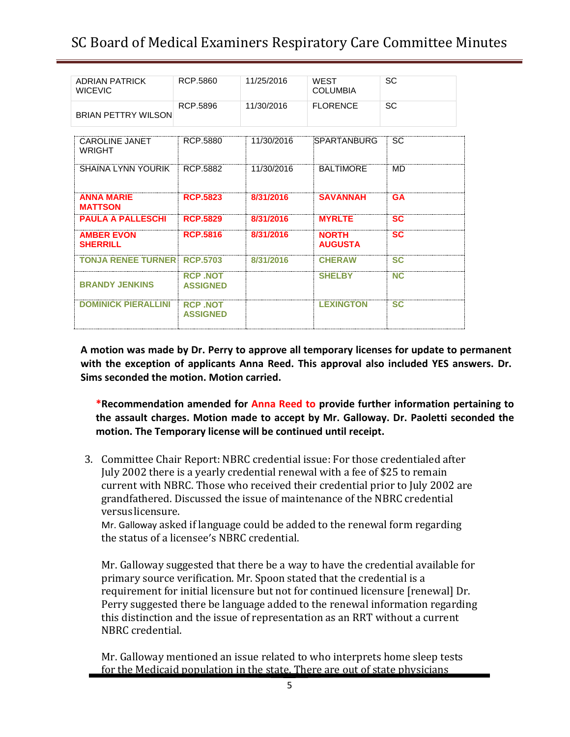# SC Board of Medical Examiners Respiratory Care Committee Minutes

| <b>ADRIAN PATRICK</b><br><b>WICEVIC</b> | RCP.5860                           | 11/25/2016 | <b>WEST</b><br>COLUMBIA        | SC        |
|-----------------------------------------|------------------------------------|------------|--------------------------------|-----------|
| <b>BRIAN PETTRY WILSON</b>              | RCP.5896                           | 11/30/2016 | <b>FLORENCE</b>                | SC        |
|                                         |                                    |            |                                |           |
| <b>CAROLINE JANET</b><br><b>WRIGHT</b>  | RCP.5880                           | 11/30/2016 | SPARTANBURG                    | <b>SC</b> |
| SHAINA LYNN YOURIK                      | RCP.5882                           | 11/30/2016 | <b>BALTIMORE</b>               | MD        |
| <b>ANNA MARIE</b><br><b>MATTSON</b>     | <b>RCP.5823</b>                    | 8/31/2016  | <b>SAVANNAH</b>                | <b>GA</b> |
| <b>PAULA A PALLESCHI</b>                | <b>RCP.5829</b>                    | 8/31/2016  | <b>MYRLTE</b>                  | <b>SC</b> |
| <b>AMBER EVON</b><br><b>SHERRILL</b>    | <b>RCP.5816</b>                    | 8/31/2016  | <b>NORTH</b><br><b>AUGUSTA</b> | <b>SC</b> |
| <b>TONJA RENEE TURNER</b>               | <b>RCP.5703</b>                    | 8/31/2016  | <b>CHERAW</b>                  | <b>SC</b> |
| <b>BRANDY JENKINS</b>                   | <b>RCP NOT</b><br><b>ASSIGNED</b>  |            | <b>SHELBY</b>                  | <b>NC</b> |
| <b>DOMINICK PIERALLINI</b>              | <b>RCP .NOT</b><br><b>ASSIGNED</b> |            | <b>LEXINGTON</b>               | <b>SC</b> |
|                                         |                                    |            |                                |           |

**A motion was made by Dr. Perry to approve all temporary licenses for update to permanent with the exception of applicants Anna Reed. This approval also included YES answers. Dr. Sims seconded the motion. Motion carried.**

**\*Recommendation amended for Anna Reed to provide further information pertaining to the assault charges. Motion made to accept by Mr. Galloway. Dr. Paoletti seconded the motion. The Temporary license will be continued until receipt.**

3. Committee Chair Report: NBRC credential issue: For those credentialed after July 2002 there is a yearly credential renewal with a fee of \$25 to remain current with NBRC. Those who received their credential prior to July 2002 are grandfathered. Discussed the issue of maintenance of the NBRC credential versuslicensure.

Mr. Galloway asked if language could be added to the renewal form regarding the status of a licensee's NBRC credential.

Mr. Galloway suggested that there be a way to have the credential available for primary source verification. Mr. Spoon stated that the credential is a requirement for initial licensure but not for continued licensure [renewal] Dr. Perry suggested there be language added to the renewal information regarding this distinction and the issue of representation as an RRT without a current NBRC credential.

Mr. Galloway mentioned an issue related to who interprets home sleep tests for the Medicaid population in the state. There are out of state physicians